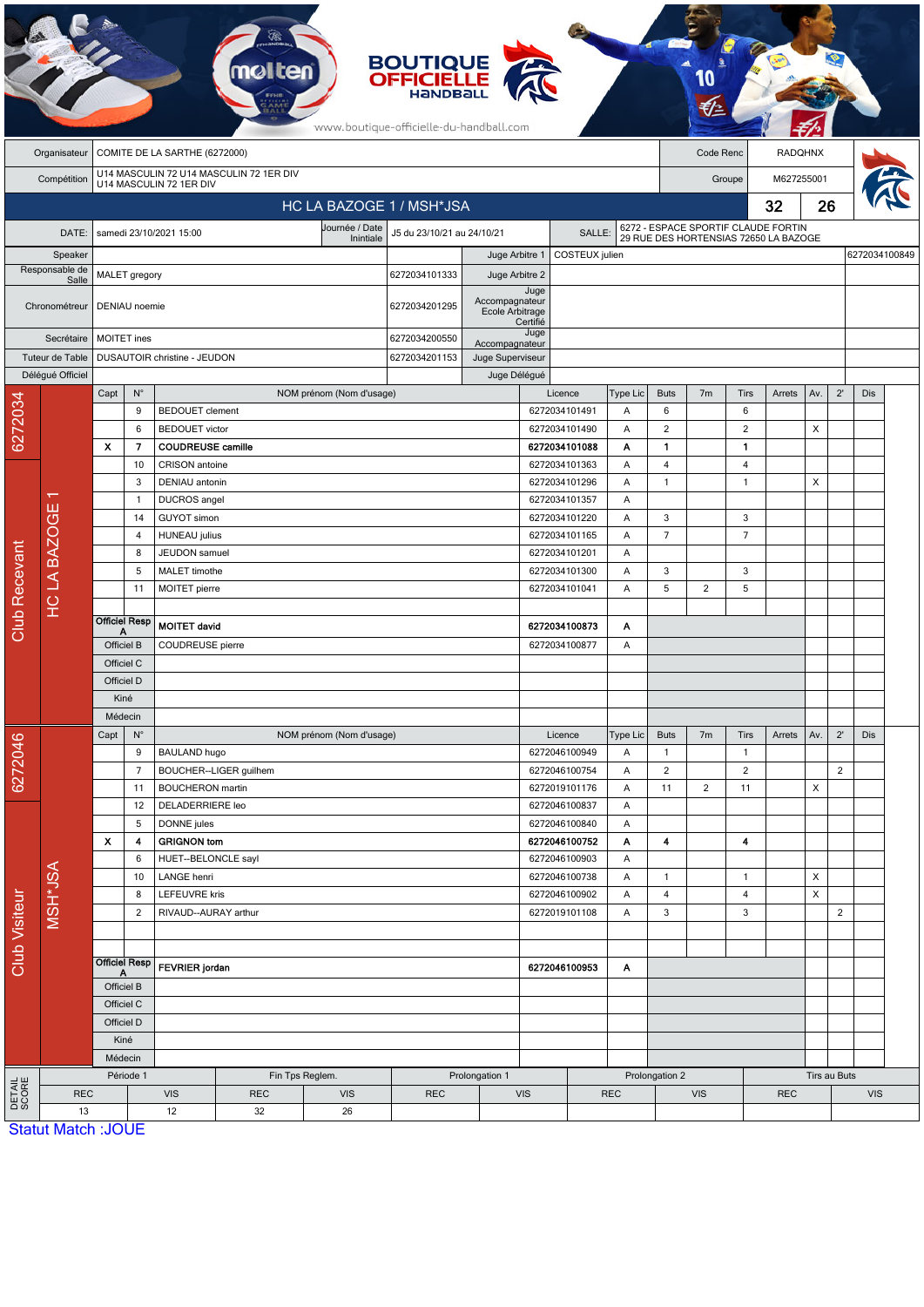|                        | <b>BOUTIQUE</b><br><b>OFFICIELLE</b><br>HANDBALL<br>www.boutique-officielle-du-handball.com |                                    |                      |                                                 |                                         |                          |                                      |                                               |                                          |                                          |                |                                                                              |                |                              |                |                |                |               |  |
|------------------------|---------------------------------------------------------------------------------------------|------------------------------------|----------------------|-------------------------------------------------|-----------------------------------------|--------------------------|--------------------------------------|-----------------------------------------------|------------------------------------------|------------------------------------------|----------------|------------------------------------------------------------------------------|----------------|------------------------------|----------------|----------------|----------------|---------------|--|
|                        | Organisateur                                                                                | COMITE DE LA SARTHE (6272000)      |                      |                                                 |                                         |                          |                                      |                                               |                                          |                                          |                | Code Renc                                                                    |                |                              | <b>RADQHNX</b> |                |                |               |  |
|                        | Compétition                                                                                 |                                    |                      | U14 MASCULIN 72 1ER DIV                         | U14 MASCULIN 72 U14 MASCULIN 72 1ER DIV |                          |                                      | M627255001<br>Groupe                          |                                          |                                          |                |                                                                              |                |                              |                |                |                |               |  |
|                        |                                                                                             |                                    |                      |                                                 |                                         |                          | HC LA BAZOGE 1 / MSH*JSA             |                                               |                                          |                                          |                |                                                                              | 32             |                              |                |                |                |               |  |
|                        |                                                                                             |                                    |                      |                                                 |                                         | Journée / Date           |                                      |                                               |                                          |                                          |                |                                                                              |                | 26                           |                |                |                |               |  |
|                        | DATE:                                                                                       |                                    |                      | samedi 23/10/2021 15:00                         |                                         | Inintiale                | J5 du 23/10/21 au 24/10/21<br>SALLE: |                                               |                                          |                                          |                | 6272 - ESPACE SPORTIF CLAUDE FORTIN<br>29 RUE DES HORTENSIAS 72650 LA BAZOGE |                |                              |                |                |                |               |  |
|                        | Speaker<br>Responsable de                                                                   |                                    |                      |                                                 |                                         |                          |                                      | Juge Arbitre 1                                | COSTEUX julien                           |                                          |                |                                                                              |                |                              |                |                |                | 6272034100849 |  |
|                        | Salle                                                                                       | MALET gregory                      |                      |                                                 |                                         |                          | 6272034101333                        | Juge Arbitre 2                                | Juge                                     |                                          |                |                                                                              |                |                              |                |                |                |               |  |
|                        | Chronométreur                                                                               | DENIAU noemie                      |                      |                                                 |                                         |                          | 6272034201295                        | Accompagnateur<br>Ecole Arbitrage<br>Certifié |                                          |                                          |                |                                                                              |                |                              |                |                |                |               |  |
|                        | Secrétaire                                                                                  | <b>MOITET</b> ines                 |                      |                                                 |                                         |                          | 6272034200550                        | Accompagnateur                                | Juge                                     |                                          |                |                                                                              |                |                              |                |                |                |               |  |
|                        | Tuteur de Table                                                                             |                                    |                      | DUSAUTOIR christine - JEUDON                    |                                         | 6272034201153            | Juge Superviseur                     |                                               |                                          |                                          |                |                                                                              |                |                              |                |                |                |               |  |
|                        | Délégué Officiel                                                                            |                                    |                      |                                                 |                                         |                          |                                      | Juge Délégué                                  |                                          |                                          |                |                                                                              |                |                              |                |                |                |               |  |
|                        |                                                                                             | Capt                               | $N^{\circ}$          |                                                 |                                         | NOM prénom (Nom d'usage) |                                      |                                               |                                          | Licence                                  | Type Lic       | <b>Buts</b>                                                                  | 7 <sub>m</sub> | Tirs                         | Arrets         | Av.            | $2^{\prime}$   | Dis           |  |
| 6272034                |                                                                                             |                                    | 9<br>6               | <b>BEDOUET</b> clement<br><b>BEDOUET</b> victor |                                         |                          |                                      |                                               |                                          | 6272034101491<br>6272034101490           | Α<br>A         | 6<br>$\overline{2}$                                                          |                | 6<br>$\overline{\mathbf{c}}$ |                | X              |                |               |  |
|                        |                                                                                             | $\boldsymbol{\mathsf{x}}$          | 7                    |                                                 | <b>COUDREUSE camille</b>                |                          |                                      |                                               |                                          | 6272034101088                            |                | 1                                                                            |                | $\mathbf{1}$                 |                |                |                |               |  |
|                        |                                                                                             |                                    | 10                   |                                                 | CRISON antoine                          |                          |                                      | 6272034101363                                 |                                          | Α                                        | $\overline{4}$ |                                                                              | 4              |                              |                |                |                |               |  |
|                        |                                                                                             |                                    | 3                    | DENIAU antonin                                  |                                         |                          |                                      |                                               |                                          | 6272034101296                            | Α              | $\mathbf{1}$                                                                 |                | $\mathbf{1}$                 |                | X              |                |               |  |
|                        |                                                                                             | $\mathbf{1}$                       |                      | DUCROS angel                                    |                                         |                          |                                      |                                               |                                          | 6272034101357                            | Α              |                                                                              |                |                              |                |                |                |               |  |
|                        | <b>HCLA BAZOGE</b>                                                                          |                                    | 14                   | GUYOT simon                                     |                                         |                          |                                      |                                               |                                          | 6272034101220                            | Α              | 3                                                                            |                | 3                            |                |                |                |               |  |
|                        |                                                                                             |                                    | 4                    | <b>HUNEAU</b> julius<br>JEUDON samuel           |                                         |                          |                                      |                                               | 6272034101165<br>Α                       |                                          |                | $\overline{7}$                                                               |                | $\overline{7}$               |                |                |                |               |  |
|                        |                                                                                             |                                    | 8<br>5               |                                                 |                                         |                          |                                      |                                               |                                          | 6272034101201<br>A<br>6272034101300<br>Α |                |                                                                              |                | 3                            |                |                |                |               |  |
|                        |                                                                                             |                                    | 11                   | MALET timothe<br>MOITET pierre                  |                                         |                          |                                      |                                               |                                          | 6272034101041                            | Α              |                                                                              | 2              | 5                            |                |                |                |               |  |
| <b>Club Recevant</b>   |                                                                                             |                                    |                      |                                                 |                                         |                          |                                      |                                               |                                          |                                          |                | 5                                                                            |                |                              |                |                |                |               |  |
|                        |                                                                                             | А                                  | <b>Officiel Resp</b> | <b>MOITET david</b>                             |                                         |                          |                                      |                                               | 6272034100873                            | Α                                        |                |                                                                              |                |                              |                |                |                |               |  |
|                        |                                                                                             | Officiel B                         |                      | COUDREUSE pierre                                |                                         |                          |                                      | 6272034100877<br>Α                            |                                          |                                          |                |                                                                              |                |                              |                |                |                |               |  |
|                        |                                                                                             | Officiel C                         |                      |                                                 |                                         |                          |                                      |                                               |                                          |                                          |                |                                                                              |                |                              |                |                |                |               |  |
|                        |                                                                                             | Officiel D                         |                      |                                                 |                                         |                          |                                      |                                               |                                          |                                          |                |                                                                              |                |                              |                |                |                |               |  |
|                        |                                                                                             | Kiné                               |                      |                                                 |                                         |                          |                                      |                                               |                                          |                                          |                |                                                                              |                |                              |                |                |                |               |  |
|                        |                                                                                             | Médecin<br>$\mathsf{N}^\circ$      |                      | NOM prénom (Nom d'usage)                        |                                         |                          |                                      |                                               |                                          |                                          |                | <b>Buts</b><br>7 <sub>m</sub><br>Tirs<br>Arrets                              |                |                              |                |                |                |               |  |
|                        |                                                                                             | Capt                               | 9                    | <b>BAULAND hugo</b>                             |                                         |                          |                                      |                                               |                                          | Licence<br>6272046100949                 | Type Lic<br>Α  | $\mathbf{1}$                                                                 |                | $\overline{1}$               |                | Av.            | $2^{\prime}$   | Dis           |  |
| 6272046                |                                                                                             |                                    | $\overline{7}$       |                                                 | BOUCHER--LIGER guilhem                  |                          |                                      |                                               |                                          | 6272046100754                            | Α              | $\overline{2}$                                                               |                | $\overline{2}$               |                |                | $\overline{c}$ |               |  |
|                        |                                                                                             |                                    | 11                   | <b>BOUCHERON</b> martin                         |                                         |                          |                                      |                                               |                                          | 6272019101176                            | Α              | 11                                                                           | $\overline{2}$ | 11                           |                | $\pmb{\times}$ |                |               |  |
|                        |                                                                                             |                                    | 12                   | DELADERRIERE leo                                |                                         |                          |                                      |                                               |                                          | 6272046100837                            | A              |                                                                              |                |                              |                |                |                |               |  |
|                        |                                                                                             |                                    | 5                    | DONNE jules                                     |                                         |                          |                                      |                                               |                                          | 6272046100840                            | A              |                                                                              |                |                              |                |                |                |               |  |
|                        |                                                                                             | $\boldsymbol{\mathsf{x}}$          | 4                    | <b>GRIGNON tom</b>                              |                                         |                          |                                      |                                               |                                          | 6272046100752                            | A              | 4                                                                            |                | 4                            |                |                |                |               |  |
| <b>Club Visiteur</b>   | MSH*JSA                                                                                     | 6                                  |                      |                                                 | HUET--BELONCLE sayl                     |                          |                                      |                                               | 6272046100903<br>Α                       |                                          |                | $\mathbf{1}$                                                                 |                | $\overline{1}$               |                | X              |                |               |  |
|                        |                                                                                             | 10<br>8                            |                      | LANGE henri<br><b>LEFEUVRE kris</b>             |                                         |                          |                                      |                                               | 6272046100738<br>A<br>6272046100902<br>Α |                                          |                | $\overline{4}$                                                               |                | 4                            |                | X              |                |               |  |
|                        |                                                                                             |                                    | $\overline{c}$       |                                                 | RIVAUD--AURAY arthur                    |                          |                                      |                                               | 6272019101108<br>Α                       |                                          |                | $\mathbf{3}$                                                                 |                | 3                            |                |                | $\overline{2}$ |               |  |
|                        |                                                                                             |                                    |                      |                                                 |                                         |                          |                                      |                                               |                                          |                                          |                |                                                                              |                |                              |                |                |                |               |  |
|                        |                                                                                             | <b>Officiel Resp</b><br>Officiel B |                      | <b>FEVRIER</b> jordan                           |                                         |                          |                                      |                                               | 6272046100953<br>A                       |                                          |                |                                                                              |                |                              |                |                |                |               |  |
|                        |                                                                                             |                                    |                      |                                                 |                                         |                          |                                      |                                               |                                          |                                          |                |                                                                              |                |                              |                |                |                |               |  |
|                        |                                                                                             | Officiel C                         |                      |                                                 |                                         |                          |                                      |                                               |                                          |                                          |                |                                                                              |                |                              |                |                |                |               |  |
|                        |                                                                                             | Officiel D                         |                      |                                                 |                                         |                          |                                      |                                               |                                          |                                          |                |                                                                              |                |                              |                |                |                |               |  |
|                        |                                                                                             |                                    | Kiné                 |                                                 |                                         |                          |                                      |                                               |                                          |                                          |                |                                                                              |                |                              |                |                |                |               |  |
|                        |                                                                                             | Médecin<br>Période 1               |                      |                                                 |                                         | Fin Tps Reglem.          |                                      | Prolongation 1                                |                                          |                                          | Prolongation 2 |                                                                              |                |                              | Tirs au Buts   |                |                |               |  |
| <b>DETAIL</b><br>SCORE | <b>REC</b>                                                                                  |                                    |                      | <b>VIS</b><br><b>REC</b><br><b>VIS</b>          |                                         |                          | <b>REC</b>                           | VIS<br><b>REC</b>                             |                                          |                                          | <b>VIS</b>     |                                                                              |                | <b>REC</b>                   |                |                | <b>VIS</b>     |               |  |
|                        | 13                                                                                          |                                    |                      | 12                                              | 32                                      | 26                       |                                      |                                               |                                          |                                          |                |                                                                              |                |                              |                |                |                |               |  |
|                        | <b>Statut Match: JOUE</b>                                                                   |                                    |                      |                                                 |                                         |                          |                                      |                                               |                                          |                                          |                |                                                                              |                |                              |                |                |                |               |  |